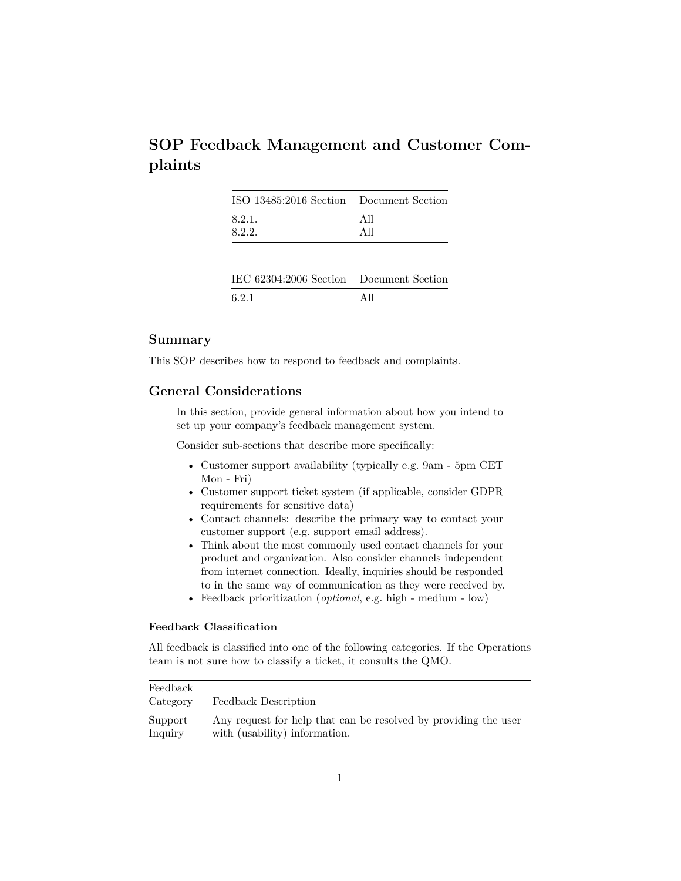|         | SOP Feedback Management and Customer Com- |  |  |
|---------|-------------------------------------------|--|--|
| plaints |                                           |  |  |

|                | ISO 13485:2016 Section Document Section |
|----------------|-----------------------------------------|
| 8.2.1.<br>All  |                                         |
| 8.2.2.<br>A 11 |                                         |

| IEC 62304:2006 Section Document Section |      |
|-----------------------------------------|------|
| 6.2.1                                   | A 11 |

# **Summary**

This SOP describes how to respond to feedback and complaints.

# **General Considerations**

In this section, provide general information about how you intend to set up your company's feedback management system.

Consider sub-sections that describe more specifically:

- Customer support availability (typically e.g. 9am 5pm CET Mon - Fri)
- Customer support ticket system (if applicable, consider GDPR requirements for sensitive data)
- Contact channels: describe the primary way to contact your customer support (e.g. support email address).
- Think about the most commonly used contact channels for your product and organization. Also consider channels independent from internet connection. Ideally, inquiries should be responded to in the same way of communication as they were received by.
- Feedback prioritization (*optional*, e.g. high medium low)

## **Feedback Classification**

All feedback is classified into one of the following categories. If the Operations team is not sure how to classify a ticket, it consults the QMO.

| Feedback |                                                                 |
|----------|-----------------------------------------------------------------|
| Category | Feedback Description                                            |
| Support  | Any request for help that can be resolved by providing the user |
| Inquiry  | with (usability) information.                                   |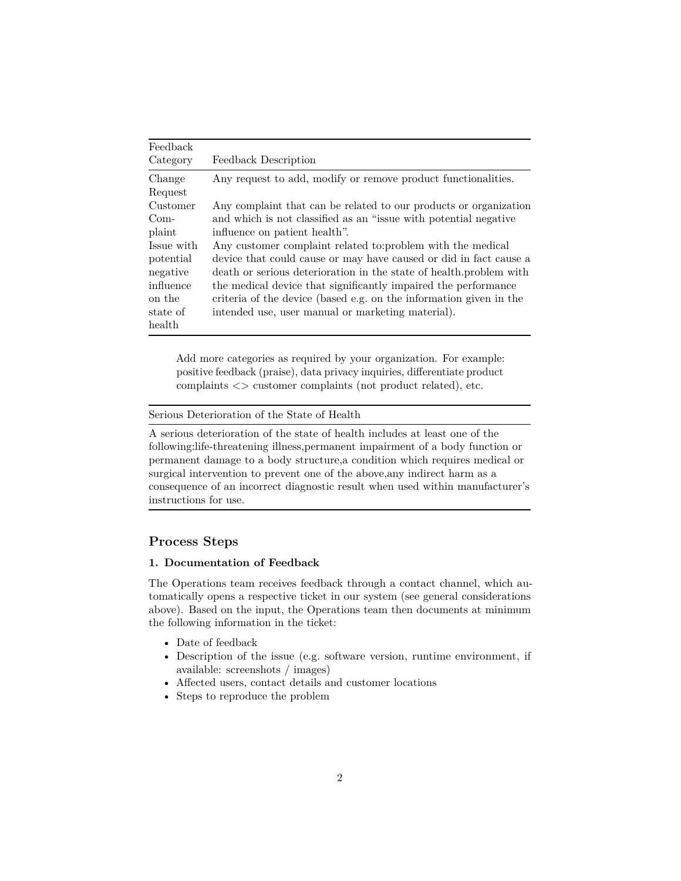| Feedback   |                                                                     |
|------------|---------------------------------------------------------------------|
| Category   | Feedback Description                                                |
| Change     | Any request to add, modify or remove product functionalities.       |
| Request    |                                                                     |
| Customer   | Any complaint that can be related to our products or organization   |
| $Com-$     | and which is not classified as an "issue with potential negative"   |
| plaint     | influence on patient health".                                       |
| Issue with | Any customer complaint related to:problem with the medical          |
| potential  | device that could cause or may have caused or did in fact cause a   |
| negative   | death or serious deterioration in the state of health, problem with |
| influence  | the medical device that significantly impaired the performance      |
| on the     | criteria of the device (based e.g. on the information given in the  |
| state of   | intended use, user manual or marketing material).                   |
| health     |                                                                     |

Add more categories as required by your organization. For example: positive feedback (praise), data privacy inquiries, differentiate product complaints <> customer complaints (not product related), etc.

Serious Deterioration of the State of Health

A serious deterioration of the state of health includes at least one of the following:life-threatening illness,permanent impairment of a body function or permanent damage to a body structure,a condition which requires medical or surgical intervention to prevent one of the above,any indirect harm as a consequence of an incorrect diagnostic result when used within manufacturer's instructions for use.

## **Process Steps**

## **1. Documentation of Feedback**

The Operations team receives feedback through a contact channel, which automatically opens a respective ticket in our system (see general considerations above). Based on the input, the Operations team then documents at minimum the following information in the ticket:

- Date of feedback
- Description of the issue (e.g. software version, runtime environment, if available: screenshots / images)
- Affected users, contact details and customer locations
- Steps to reproduce the problem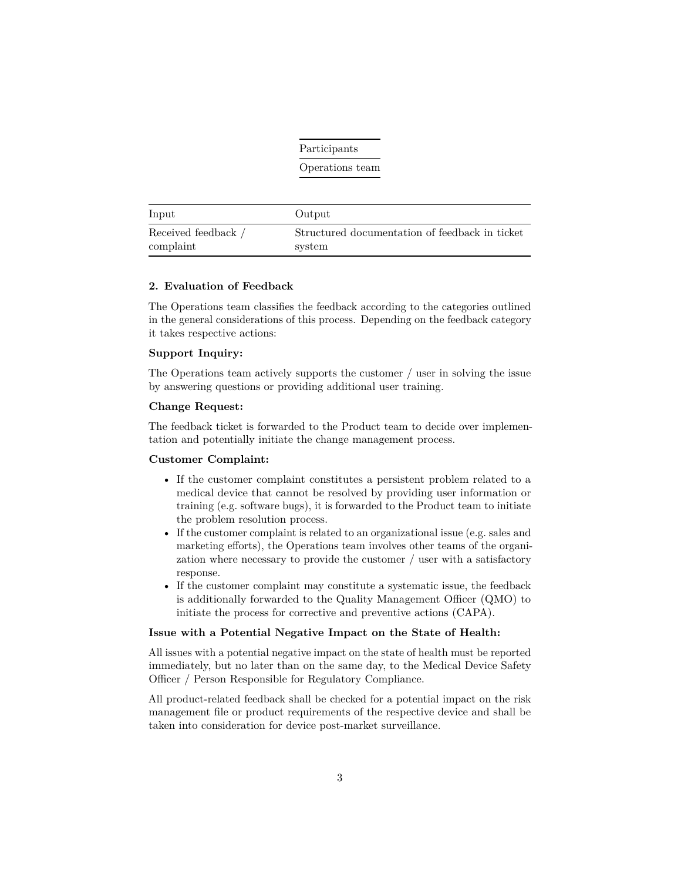|                                  | Participants                                             |  |
|----------------------------------|----------------------------------------------------------|--|
|                                  | Operations team                                          |  |
| Input                            | Output                                                   |  |
| Received feedback /<br>complaint | Structured documentation of feedback in ticket<br>system |  |

#### **2. Evaluation of Feedback**

The Operations team classifies the feedback according to the categories outlined in the general considerations of this process. Depending on the feedback category it takes respective actions:

### **Support Inquiry:**

The Operations team actively supports the customer / user in solving the issue by answering questions or providing additional user training.

### **Change Request:**

The feedback ticket is forwarded to the Product team to decide over implementation and potentially initiate the change management process.

## **Customer Complaint:**

- If the customer complaint constitutes a persistent problem related to a medical device that cannot be resolved by providing user information or training (e.g. software bugs), it is forwarded to the Product team to initiate the problem resolution process.
- If the customer complaint is related to an organizational issue (e.g. sales and marketing efforts), the Operations team involves other teams of the organization where necessary to provide the customer / user with a satisfactory response.
- If the customer complaint may constitute a systematic issue, the feedback is additionally forwarded to the Quality Management Officer (QMO) to initiate the process for corrective and preventive actions (CAPA).

### **Issue with a Potential Negative Impact on the State of Health:**

All issues with a potential negative impact on the state of health must be reported immediately, but no later than on the same day, to the Medical Device Safety Officer / Person Responsible for Regulatory Compliance.

All product-related feedback shall be checked for a potential impact on the risk management file or product requirements of the respective device and shall be taken into consideration for device post-market surveillance.